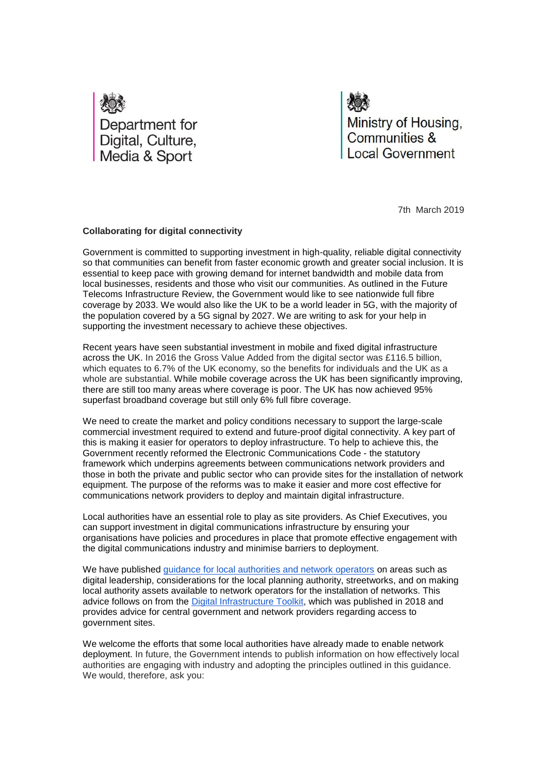

Ministry of Housing, Communities & **Local Government** 

7th March 2019

## **Collaborating for digital connectivity**

Government is committed to supporting investment in high-quality, reliable digital connectivity so that communities can benefit from faster economic growth and greater social inclusion. It is essential to keep pace with growing demand for internet bandwidth and mobile data from local businesses, residents and those who visit our communities. As outlined in the Future Telecoms Infrastructure Review, the Government would like to see nationwide full fibre coverage by 2033. We would also like the UK to be a world leader in 5G, with the majority of the population covered by a 5G signal by 2027. We are writing to ask for your help in supporting the investment necessary to achieve these objectives.

Recent years have seen substantial investment in mobile and fixed digital infrastructure across the UK. In 2016 the Gross Value Added from the digital sector was £116.5 billion, which equates to 6.7% of the UK economy, so the benefits for individuals and the UK as a whole are substantial. While mobile coverage across the UK has been significantly improving, there are still too many areas where coverage is poor. The UK has now achieved 95% superfast broadband coverage but still only 6% full fibre coverage.

We need to create the market and policy conditions necessary to support the large-scale commercial investment required to extend and future-proof digital connectivity. A key part of this is making it easier for operators to deploy infrastructure. To help to achieve this, the Government recently reformed the Electronic Communications Code - the statutory framework which underpins agreements between communications network providers and those in both the private and public sector who can provide sites for the installation of network equipment. The purpose of the reforms was to make it easier and more cost effective for communications network providers to deploy and maintain digital infrastructure.

Local authorities have an essential role to play as site providers. As Chief Executives, you can support investment in digital communications infrastructure by ensuring your organisations have policies and procedures in place that promote effective engagement with the digital communications industry and minimise barriers to deployment.

We have published [guidance for local authorities and network operators](https://www.gov.uk/guidance/digital-connectivity-portal) on areas such as digital leadership, considerations for the local planning authority, streetworks, and on making local authority assets available to network operators for the installation of networks. This advice follows on from the [Digital Infrastructure Toolkit,](https://assets.publishing.service.gov.uk/government/uploads/system/uploads/attachment_data/file/728269/Digital_Infrastructure_Toolkit.pdf) which was published in 2018 and provides advice for central government and network providers regarding access to government sites.

We welcome the efforts that some local authorities have already made to enable network deployment. In future, the Government intends to publish information on how effectively local authorities are engaging with industry and adopting the principles outlined in this guidance. We would, therefore, ask you: